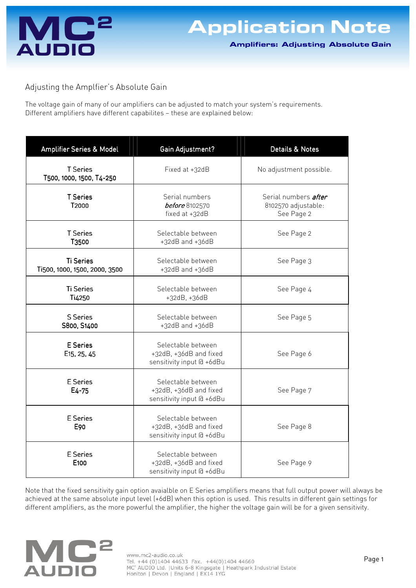

Adjusting the Amplfier's Absolute Gain

The voltage gain of many of our amplifiers can be adjusted to match your system's requirements. Different amplifiers have different capabilites — these are explained below:

| Amplifier Series & Model                          | Gain Adjustment?                                                          | Details & Notes                                                  |
|---------------------------------------------------|---------------------------------------------------------------------------|------------------------------------------------------------------|
| <b>T</b> Series<br>T500, 1000, 1500, T4-250       | Fixed at +32dB                                                            | No adjustment possible.                                          |
| <b>T</b> Series<br>T2000                          | Serial numbers<br><b>before</b> 8102570<br>fixed at +32dB                 | Serial numbers <i>after</i><br>8102570 adjustable:<br>See Page 2 |
| <b>T</b> Series<br>T3500                          | Selectable between<br>$+32dB$ and $+36dB$                                 | See Page 2                                                       |
| <b>Ti Series</b><br>Ti500, 1000, 1500, 2000, 3500 | Selectable between<br>$+32dB$ and $+36dB$                                 | See Page 3                                                       |
| <b>Ti Series</b><br>Ti4250                        | Selectable between<br>+32dB, +36dB                                        | See Page 4                                                       |
| <b>S</b> Series<br>S800, S1400                    | Selectable between<br>$+32dB$ and $+36dB$                                 | See Page 5                                                       |
| E Series<br>E <sub>15</sub> , 25, 45              | Selectable between<br>+32dB, +36dB and fixed<br>sensitivity input @ +6dBu | See Page 6                                                       |
| E Series<br>$E4 - 75$                             | Selectable between<br>+32dB, +36dB and fixed<br>sensitivity input @ +6dBu | See Page 7                                                       |
| <b>E</b> Series<br>E90                            | Selectable between<br>+32dB, +36dB and fixed<br>sensitivity input @ +6dBu | See Page 8                                                       |
| E Series<br>E100                                  | Selectable between<br>+32dB, +36dB and fixed<br>sensitivity input @ +6dBu | See Page 9                                                       |

Note that the fixed sensitivity gain option avaialble on E Series amplifiers means that full output power will always be achieved at the same absolute input level (+6dB) when this option is used. This results in different gain settings for different amplifiers, as the more powerful the amplifier, the higher the voltage gain will be for a given sensitivity.

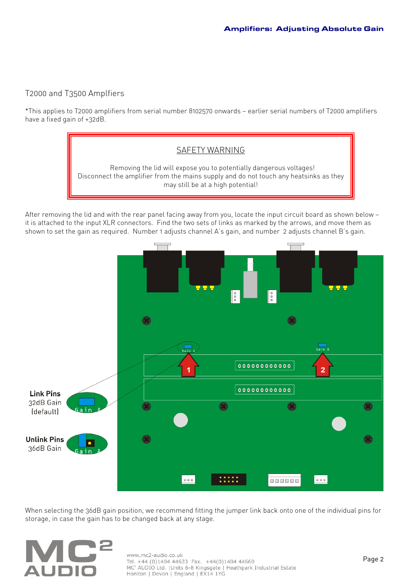### T2000 and T3500 Amplfiers

\*This applies to T2000 amplifiers from serial number 8102570 onwards — earlier serial numbers of T2000 amplifiers have a fixed gain of +32dB.



After removing the lid and with the rear panel facing away from you, locate the input circuit board as shown below it is attached to the input XLR connectors. Find the two sets of links as marked by the arrows, and move them as shown to set the gain as required. Number 1 adjusts channel A's gain, and number 2 adjusts channel B's gain.



When selecting the 36dB gain position, we recommend fitting the jumper link back onto one of the individual pins for storage, in case the gain has to be changed back at any stage.

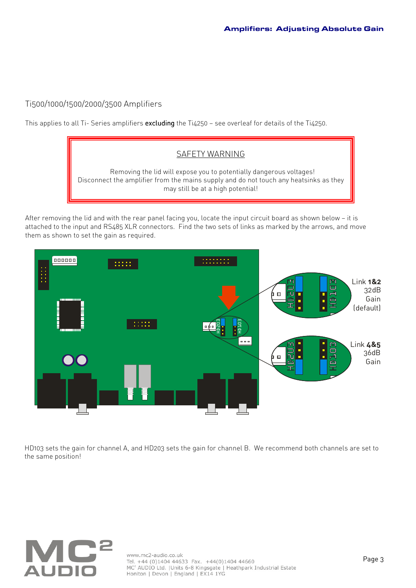### Ti500/1000/1500/2000/3500 Amplifiers

This applies to all Ti- Series amplifiers excluding the Ti4250 – see overleaf for details of the Ti4250.



After removing the lid and with the rear panel facing you, locate the input circuit board as shown below — it is attached to the input and RS485 XLR connectors. Find the two sets of links as marked by the arrows, and move them as shown to set the gain as required.



HD103 sets the gain for channel A, and HD203 sets the gain for channel B. We recommend both channels are set to the same position!

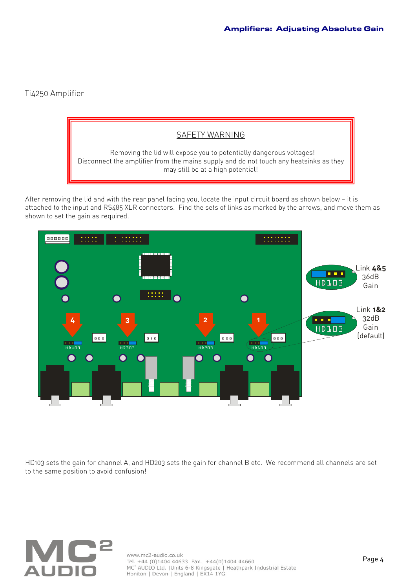# Ti4250 Amplifier



After removing the lid and with the rear panel facing you, locate the input circuit board as shown below — it is attached to the input and RS485 XLR connectors. Find the sets of links as marked by the arrows, and move them as shown to set the gain as required.



HD103 sets the gain for channel A, and HD203 sets the gain for channel B etc. We recommend all channels are set to the same position to avoid confusion!



www.mc2-audio.co.uk<br>Tel. +44 (0)1404 44633 Fax. +44(0)1404 44660<br>MC<sup>2</sup> AUDIO Ltd. |Units 6-8 Kingsgate | Heathpark Industrial Estate Honiton | Devon | England | EX14 1YG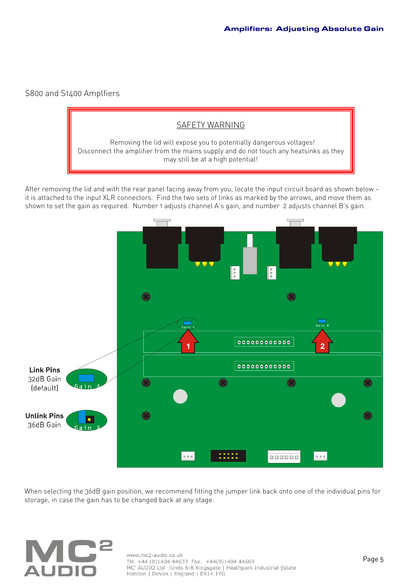#### S800 and S1400 Amplfiers

# SAFETY WARNING Removing the lid will expose you to potentially dangerous voltages! Disconnect the amplifier from the mains supply and do not touch any heatsinks as they may still be at a high potential!

After removing the lid and with the rear panel facing away from you, locate the input circuit board as shown below it is attached to the input XLR connectors. Find the two sets of links as marked by the arrows, and move them as shown to set the gain as required. Number 1 adjusts channel A's gain, and number 2 adjusts channel B's gain.



When selecting the 36dB gain position, we recommend fitting the jumper link back onto one of the individual pins for storage, in case the gain has to be changed back at any stage.

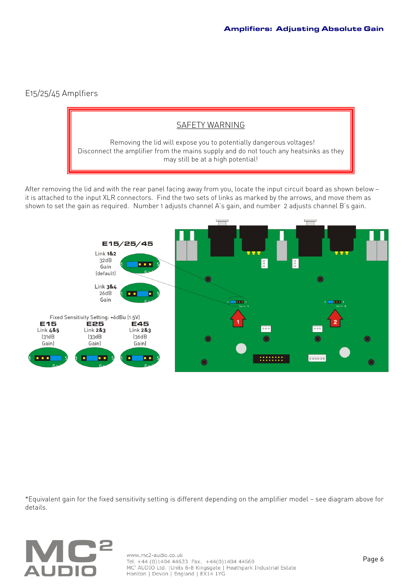# E15/25/45 Amplfiers

# SAFETY WARNING Removing the lid will expose you to potentially dangerous voltages! Disconnect the amplifier from the mains supply and do not touch any heatsinks as they may still be at a high potential!

After removing the lid and with the rear panel facing away from you, locate the input circuit board as shown below it is attached to the input XLR connectors. Find the two sets of links as marked by the arrows, and move them as shown to set the gain as required. Number 1 adjusts channel A's gain, and number 2 adjusts channel B's gain.



\*Equivalent gain for the fixed sensitivity setting is different depending on the amplifier model — see diagram above for details.



www.mc2-audio.co.uk<br>Tel. +44 (0)1404 44633 Fax. +44(0)1404 44660<br>MC<sup>2</sup> AUDIO Ltd. |Units 6-8 Kingsgate | Heathpark Industrial Estate Honiton | Devon | England | EX14 1YG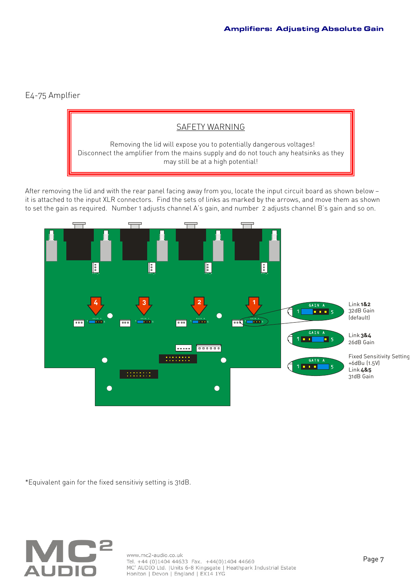### E4-75 Amplfier



After removing the lid and with the rear panel facing away from you, locate the input circuit board as shown below it is attached to the input XLR connectors. Find the sets of links as marked by the arrows, and move them as shown to set the gain as required. Number 1 adjusts channel A's gain, and number 2 adjusts channel B's gain and so on.



\*Equivalent gain for the fixed sensitiviy setting is 31dB.



www.mc2-audio.co.uk<br>Tel. +44 (0)1404 44633 Fax. +44(0)1404 44660<br>MC<sup>2</sup> AUDIO Ltd. |Units 6-8 Kingsgate | Heathpark Industrial Estate Honiton | Devon | England | EX14 1YG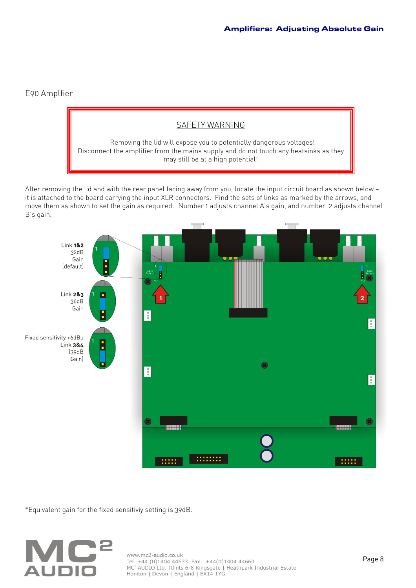### E90 Amplfier

### SAFETY WARNING

 Removing the lid will expose you to potentially dangerous voltages! Disconnect the amplifier from the mains supply and do not touch any heatsinks as they may still be at a high potential!

After removing the lid and with the rear panel facing away from you, locate the input circuit board as shown below it is attached to the board carrying the input XLR connectors. Find the sets of links as marked by the arrows, and move them as shown to set the gain as required. Number 1 adjusts channel A's gain, and number 2 adjusts channel B's gain.



\*Equivalent gain for the fixed sensitiviy setting is 39dB.